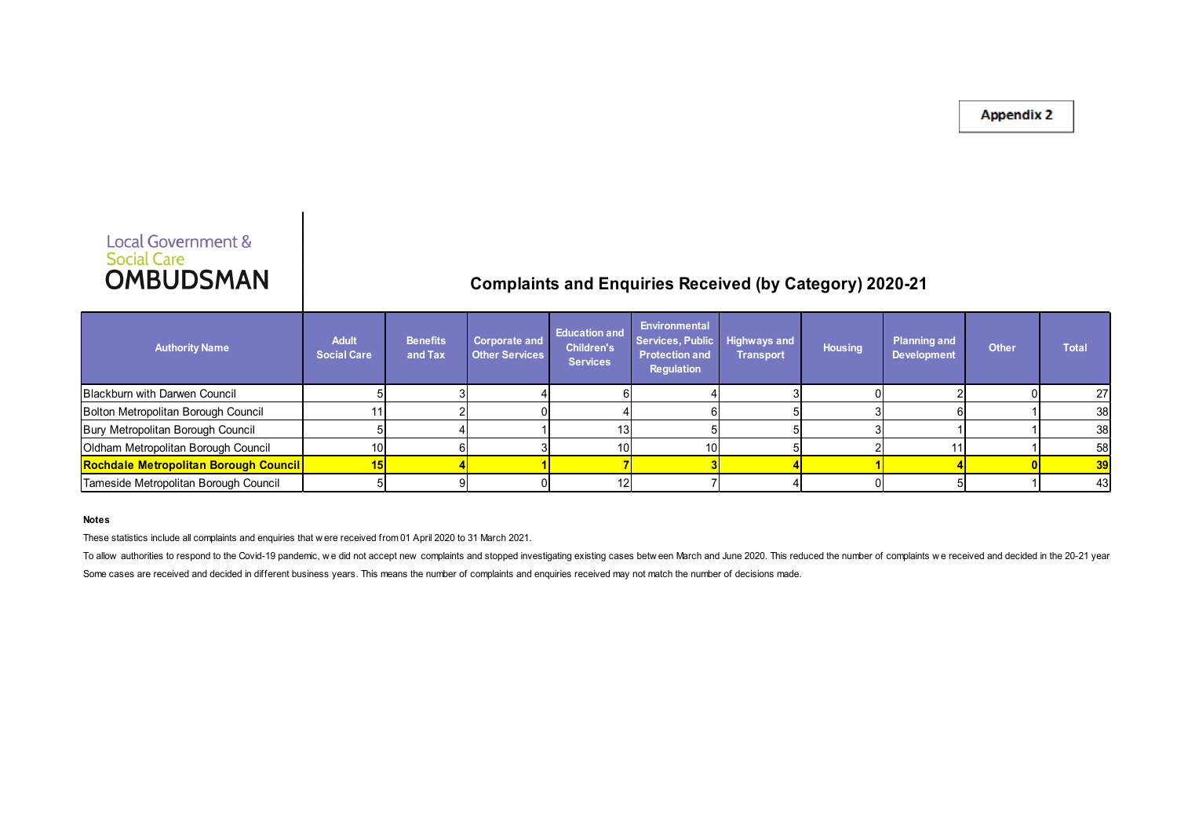**Appendix 2** 

# Local Government &<br>Social Care<br>**OMBUDSMAN**

## **Complaints and Enquiries Received (by Category) 2020-21**

| <b>Authority Name</b>                 | <b>Adult</b><br><b>Social Care</b> | <b>Benefits</b><br>and Tax | Corporate and<br><b>Other Services</b> | <b>Education and</b><br><b>Children's</b><br><b>Services</b> | Environmental<br>Services, Public<br><b>Protection and</b><br><b>Regulation</b> | Highways and<br><b>Transport</b> | <b>Housing</b> | <b>Planning and</b><br><b>Development</b> | <b>Other</b> | <b>Total</b>    |
|---------------------------------------|------------------------------------|----------------------------|----------------------------------------|--------------------------------------------------------------|---------------------------------------------------------------------------------|----------------------------------|----------------|-------------------------------------------|--------------|-----------------|
| Blackburn with Darwen Council         |                                    |                            |                                        |                                                              |                                                                                 |                                  |                |                                           |              | 27 <sup>1</sup> |
| Bolton Metropolitan Borough Council   |                                    |                            |                                        |                                                              |                                                                                 |                                  |                |                                           |              | 38              |
| Bury Metropolitan Borough Council     |                                    |                            |                                        |                                                              |                                                                                 |                                  |                |                                           |              | 38              |
| Oldham Metropolitan Borough Council   | 10                                 |                            |                                        | 10 <sup>1</sup>                                              | 10 <sup>1</sup>                                                                 |                                  |                |                                           |              | 58              |
| Rochdale Metropolitan Borough Council |                                    |                            |                                        |                                                              |                                                                                 |                                  |                |                                           |              | 39 <sub>l</sub> |
| Tameside Metropolitan Borough Council |                                    |                            |                                        |                                                              |                                                                                 |                                  |                |                                           |              | 43              |

#### **Notes**

These statistics include all complaints and enquiries that w ere received from 01 April 2020 to 31 March 2021.

To allow authorities to respond to the Covid-19 pandemic, we did not accept new complaints and stopped investigating existing cases between March and June 2020. This reduced the number of complaints we received and decided

Some cases are received and decided in different business years. This means the number of complaints and enquiries received may not match the number of decisions made.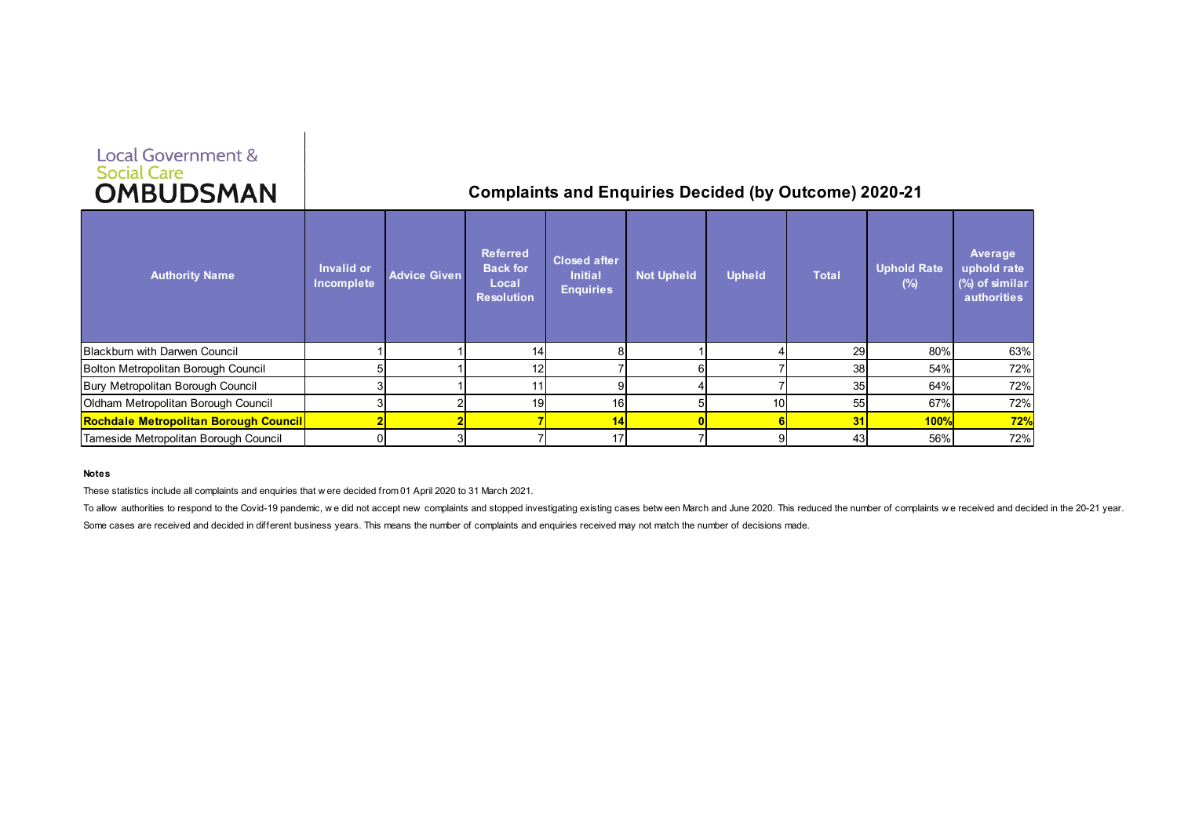## Local Government &<br>Social Care<br>**OMBUDSMAN**

## **Complaints and Enquiries Decided (by Outcome) 2020-21**

| <b>Authority Name</b>                 | Invalid or<br>Incomplete | <b>Advice Given</b> | <b>Referred</b><br><b>Back for</b><br>Local<br><b>Resolution</b> | <b>Closed after</b><br><b>Initial</b><br><b>Enquiries</b> | <b>Not Upheld</b> | <b>Upheld</b>   | <b>Total</b> | <b>Uphold Rate</b><br>(%) | Average<br>uphold rate<br>(%) of similar<br>authorities |
|---------------------------------------|--------------------------|---------------------|------------------------------------------------------------------|-----------------------------------------------------------|-------------------|-----------------|--------------|---------------------------|---------------------------------------------------------|
| Blackburn with Darwen Council         |                          |                     | 14                                                               |                                                           |                   |                 | 29           | 80%                       | 63%                                                     |
| Bolton Metropolitan Borough Council   |                          |                     | 12                                                               |                                                           |                   |                 | 38           | 54%                       | 72%                                                     |
| Bury Metropolitan Borough Council     |                          |                     |                                                                  | 9                                                         |                   |                 | 35           | 64%                       | 72%                                                     |
| Oldham Metropolitan Borough Council   |                          |                     | 19                                                               | 16                                                        |                   | 10 <sub>1</sub> | 55           | 67%                       | 72%                                                     |
| Rochdale Metropolitan Borough Council |                          |                     |                                                                  | 14                                                        |                   |                 | 31           | 100%                      | 72%                                                     |
| Tameside Metropolitan Borough Council |                          |                     |                                                                  | 17                                                        |                   |                 | 43           | 56%                       | 72%                                                     |

### **Notes**

These statistics include all complaints and enquiries that w ere decided from 01 April 2020 to 31 March 2021.

To allow authorities to respond to the Covid-19 pandemic, we did not accept new complaints and stopped investigating existing cases between March and June 2020. This reduced the number of complaints we received and decided Some cases are received and decided in different business years. This means the number of complaints and enquiries received may not match the number of decisions made.